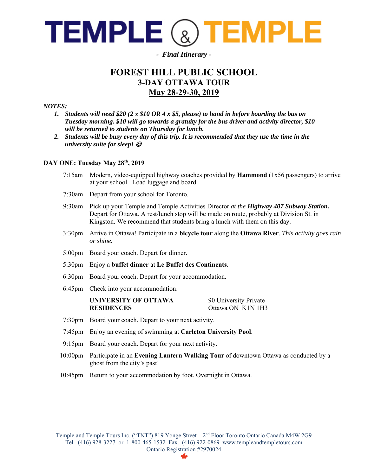

## *- Final Itinerary -*

# **FOREST HILL PUBLIC SCHOOL 3-DAY OTTAWA TOUR May 28-29-30, 2019**

#### *NOTES:*

- *1. Students will need \$20 (2 x \$10 OR 4 x \$5, please) to hand in before boarding the bus on Tuesday morning. \$10 will go towards a gratuity for the bus driver and activity director, \$10 will be returned to students on Thursday for lunch.*
- *2. Students will be busy every day of this trip. It is recommended that they use the time in the university suite for sleep!*

### **DAY ONE: Tuesday May 28th, 2019**

| $7:15$ am          | Modern, video-equipped highway coaches provided by <b>Hammond</b> $(1x56)$ passengers) to arrive<br>at your school. Load luggage and board.                                                                                                                   |                                            |
|--------------------|---------------------------------------------------------------------------------------------------------------------------------------------------------------------------------------------------------------------------------------------------------------|--------------------------------------------|
| $7:30$ am          | Depart from your school for Toronto.                                                                                                                                                                                                                          |                                            |
| 9:30am             | Pick up your Temple and Temple Activities Director at the Highway 407 Subway Station.<br>Depart for Ottawa. A rest/lunch stop will be made on route, probably at Division St. in<br>Kingston. We recommend that students bring a lunch with them on this day. |                                            |
| 3:30 <sub>pm</sub> | Arrive in Ottawa! Participate in a bicycle tour along the Ottawa River. This activity goes rain<br>or shine.                                                                                                                                                  |                                            |
|                    | 5:00pm Board your coach. Depart for dinner.                                                                                                                                                                                                                   |                                            |
|                    | 5:30pm Enjoy a buffet dinner at Le Buffet des Continents.                                                                                                                                                                                                     |                                            |
|                    | 6:30pm Board your coach. Depart for your accommodation.                                                                                                                                                                                                       |                                            |
| $6:45$ pm          | Check into your accommodation:                                                                                                                                                                                                                                |                                            |
|                    | UNIVERSITY OF OTTAWA<br><b>RESIDENCES</b>                                                                                                                                                                                                                     | 90 University Private<br>Ottawa ON K1N 1H3 |
|                    | 7:30pm Board your coach. Depart to your next activity.                                                                                                                                                                                                        |                                            |
|                    | 7:45pm Enjoy an evening of swimming at Carleton University Pool.                                                                                                                                                                                              |                                            |
|                    | 9:15pm Board your coach. Depart for your next activity.                                                                                                                                                                                                       |                                            |
| $10:00$ pm         | Participate in an Evening Lantern Walking Tour of downtown Ottawa as conducted by a<br>ghost from the city's past!                                                                                                                                            |                                            |
| $10:45$ pm         | Return to your accommodation by foot. Overnight in Ottawa.                                                                                                                                                                                                    |                                            |

Temple and Temple Tours Inc. ("TNT") 819 Yonge Street - 2<sup>nd</sup> Floor Toronto Ontario Canada M4W 2G9 Tel. (416) 928-3227 or 1-800-465-1532 Fax. (416) 922-0869 www.templeandtempletours.com Ontario Registration #2970024